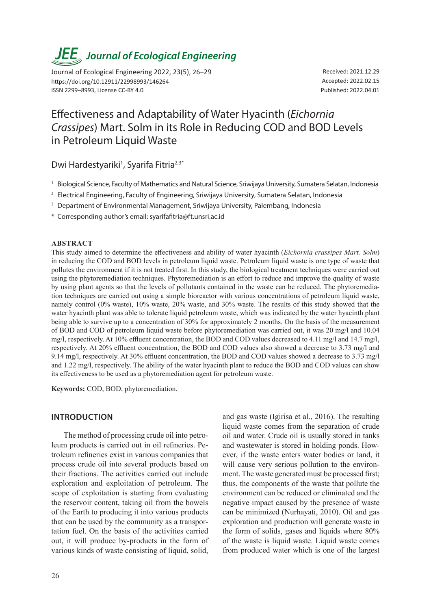# *JEE<sub>,</sub> Journal of Ecological Engineering*

Journal of Ecological Engineering 2022, 23(5), 26–29 https://doi.org/10.12911/22998993/146264 ISSN 2299–8993, License CC-BY 4.0

Received: 2021.12.29 Accepted: 2022.02.15 Published: 2022.04.01

# Effectiveness and Adaptability of Water Hyacinth (*Eichornia Crassipes*) Mart. Solm in its Role in Reducing COD and BOD Levels in Petroleum Liquid Waste

Dwi Hardestyariki<sup>1</sup>, Syarifa Fitria<sup>2,3\*</sup>

- <sup>1</sup> Biological Science, Faculty of Mathematics and Natural Science, Sriwijaya University, Sumatera Selatan, Indonesia
- <sup>2</sup> Electrical Engineering, Faculty of Engineering, Sriwijaya University, Sumatera Selatan, Indonesia
- <sup>3</sup> Department of Environmental Management, Sriwijaya University, Palembang, Indonesia
- \* Corresponding author's email: syarifafitria@ft.unsri.ac.id

#### **ABSTRACT**

This study aimed to determine the effectiveness and ability of water hyacinth (*Eichornia crassipes Mart. Solm*) in reducing the COD and BOD levels in petroleum liquid waste. Petroleum liquid waste is one type of waste that pollutes the environment if it is not treated first. In this study, the biological treatment techniques were carried out using the phytoremediation techniques. Phytoremediation is an effort to reduce and improve the quality of waste by using plant agents so that the levels of pollutants contained in the waste can be reduced. The phytoremediation techniques are carried out using a simple bioreactor with various concentrations of petroleum liquid waste, namely control (0% waste), 10% waste, 20% waste, and 30% waste. The results of this study showed that the water hyacinth plant was able to tolerate liquid petroleum waste, which was indicated by the water hyacinth plant being able to survive up to a concentration of 30% for approximately 2 months. On the basis of the measurement of BOD and COD of petroleum liquid waste before phytoremediation was carried out, it was 20 mg/l and 10.04 mg/l, respectively. At 10% effluent concentration, the BOD and COD values decreased to 4.11 mg/l and 14.7 mg/l, respectively. At 20% effluent concentration, the BOD and COD values also showed a decrease to 3.73 mg/l and 9.14 mg/l, respectively. At 30% effluent concentration, the BOD and COD values showed a decrease to 3.73 mg/l and 1.22 mg/l, respectively. The ability of the water hyacinth plant to reduce the BOD and COD values can show its effectiveness to be used as a phytoremediation agent for petroleum waste.

**Keywords:** COD, BOD, phytoremediation.

# **INTRODUCTION**

The method of processing crude oil into petroleum products is carried out in oil refineries. Petroleum refineries exist in various companies that process crude oil into several products based on their fractions. The activities carried out include exploration and exploitation of petroleum. The scope of exploitation is starting from evaluating the reservoir content, taking oil from the bowels of the Earth to producing it into various products that can be used by the community as a transportation fuel. On the basis of the activities carried out, it will produce by-products in the form of various kinds of waste consisting of liquid, solid,

and gas waste (Igirisa et al., 2016). The resulting liquid waste comes from the separation of crude oil and water. Crude oil is usually stored in tanks and wastewater is stored in holding ponds. However, if the waste enters water bodies or land, it will cause very serious pollution to the environment. The waste generated must be processed first; thus, the components of the waste that pollute the environment can be reduced or eliminated and the negative impact caused by the presence of waste can be minimized (Nurhayati, 2010). Oil and gas exploration and production will generate waste in the form of solids, gases and liquids where 80% of the waste is liquid waste. Liquid waste comes from produced water which is one of the largest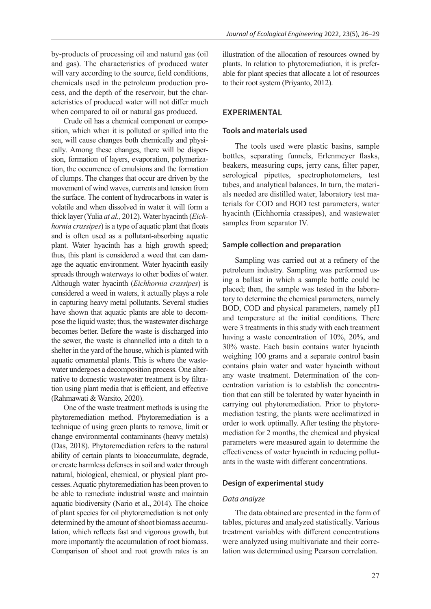by-products of processing oil and natural gas (oil and gas). The characteristics of produced water will vary according to the source, field conditions, chemicals used in the petroleum production process, and the depth of the reservoir, but the characteristics of produced water will not differ much when compared to oil or natural gas produced.

Crude oil has a chemical component or composition, which when it is polluted or spilled into the sea, will cause changes both chemically and physically. Among these changes, there will be dispersion, formation of layers, evaporation, polymerization, the occurrence of emulsions and the formation of clumps. The changes that occur are driven by the movement of wind waves, currents and tension from the surface. The content of hydrocarbons in water is volatile and when dissolved in water it will form a thick layer (Yulia *at al.,* 2012). Water hyacinth (*Eichhornia crassipes*) is a type of aquatic plant that floats and is often used as a pollutant-absorbing aquatic plant. Water hyacinth has a high growth speed; thus, this plant is considered a weed that can damage the aquatic environment. Water hyacinth easily spreads through waterways to other bodies of water. Although water hyacinth (*Eichhornia crassipes*) is considered a weed in waters, it actually plays a role in capturing heavy metal pollutants. Several studies have shown that aquatic plants are able to decompose the liquid waste; thus, the wastewater discharge becomes better. Before the waste is discharged into the sewer, the waste is channelled into a ditch to a shelter in the yard of the house, which is planted with aquatic ornamental plants. This is where the wastewater undergoes a decomposition process. One alternative to domestic wastewater treatment is by filtration using plant media that is efficient, and effective (Rahmawati & Warsito, 2020).

One of the waste treatment methods is using the phytoremediation method. Phytoremediation is a technique of using green plants to remove, limit or change environmental contaminants (heavy metals) (Das, 2018). Phytoremediation refers to the natural ability of certain plants to bioaccumulate, degrade, or create harmless defenses in soil and water through natural, biological, chemical, or physical plant processes. Aquatic phytoremediation has been proven to be able to remediate industrial waste and maintain aquatic biodiversity (Nario et al., 2014). The choice of plant species for oil phytoremediation is not only determined by the amount of shoot biomass accumulation, which reflects fast and vigorous growth, but more importantly the accumulation of root biomass. Comparison of shoot and root growth rates is an

illustration of the allocation of resources owned by plants. In relation to phytoremediation, it is preferable for plant species that allocate a lot of resources to their root system (Priyanto, 2012).

# **EXPERIMENTAL**

## **Tools and materials used**

The tools used were plastic basins, sample bottles, separating funnels, Erlenmeyer flasks, beakers, measuring cups, jerry cans, filter paper, serological pipettes, spectrophotometers, test tubes, and analytical balances. In turn, the materials needed are distilled water, laboratory test materials for COD and BOD test parameters, water hyacinth (Eichhornia crassipes), and wastewater samples from separator IV.

#### **Sample collection and preparation**

Sampling was carried out at a refinery of the petroleum industry. Sampling was performed using a ballast in which a sample bottle could be placed; then, the sample was tested in the laboratory to determine the chemical parameters, namely BOD, COD and physical parameters, namely pH and temperature at the initial conditions. There were 3 treatments in this study with each treatment having a waste concentration of 10%, 20%, and 30% waste. Each basin contains water hyacinth weighing 100 grams and a separate control basin contains plain water and water hyacinth without any waste treatment. Determination of the concentration variation is to establish the concentration that can still be tolerated by water hyacinth in carrying out phytoremediation. Prior to phytoremediation testing, the plants were acclimatized in order to work optimally. After testing the phytoremediation for 2 months, the chemical and physical parameters were measured again to determine the effectiveness of water hyacinth in reducing pollutants in the waste with different concentrations.

#### **Design of experimental study**

#### *Data analyze*

The data obtained are presented in the form of tables, pictures and analyzed statistically. Various treatment variables with different concentrations were analyzed using multivariate and their correlation was determined using Pearson correlation.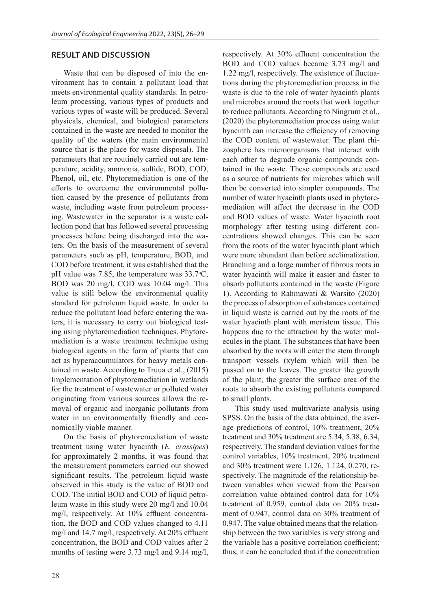# **RESULT AND DISCUSSION**

Waste that can be disposed of into the environment has to contain a pollutant load that meets environmental quality standards. In petroleum processing, various types of products and various types of waste will be produced. Several physicals, chemical, and biological parameters contained in the waste are needed to monitor the quality of the waters (the main environmental source that is the place for waste disposal). The parameters that are routinely carried out are temperature, acidity, ammonia, sulfide, BOD, COD, Phenol, oil, etc. Phytoremediation is one of the efforts to overcome the environmental pollution caused by the presence of pollutants from waste, including waste from petroleum processing. Wastewater in the separator is a waste collection pond that has followed several processing processes before being discharged into the waters. On the basis of the measurement of several parameters such as pH, temperature, BOD, and COD before treatment, it was established that the pH value was 7.85, the temperature was  $33.7^{\circ}$ C, BOD was 20 mg/l, COD was 10.04 mg/l. This value is still below the environmental quality standard for petroleum liquid waste. In order to reduce the pollutant load before entering the waters, it is necessary to carry out biological testing using phytoremediation techniques. Phytoremediation is a waste treatment technique using biological agents in the form of plants that can act as hyperaccumulators for heavy metals contained in waste. According to Truua et al., (2015) Implementation of phytoremediation in wetlands for the treatment of wastewater or polluted water originating from various sources allows the removal of organic and inorganic pollutants from water in an environmentally friendly and economically viable manner.

On the basis of phytoremediation of waste treatment using water hyacinth (*E. crassipes*) for approximately 2 months, it was found that the measurement parameters carried out showed significant results. The petroleum liquid waste observed in this study is the value of BOD and COD. The initial BOD and COD of liquid petroleum waste in this study were 20 mg/l and 10.04 mg/l, respectively. At 10% effluent concentration, the BOD and COD values changed to 4.11 mg/l and 14.7 mg/l, respectively. At 20% effluent concentration, the BOD and COD values after 2 months of testing were 3.73 mg/l and 9.14 mg/l, BOD and COD values became 3.73 mg/l and 1.22 mg/l, respectively. The existence of fluctuations during the phytoremediation process in the waste is due to the role of water hyacinth plants and microbes around the roots that work together to reduce pollutants. According to Ningrum et al., (2020) the phytoremediation process using water hyacinth can increase the efficiency of removing the COD content of wastewater. The plant rhizosphere has microorganisms that interact with each other to degrade organic compounds contained in the waste. These compounds are used as a source of nutrients for microbes which will then be converted into simpler compounds. The number of water hyacinth plants used in phytoremediation will affect the decrease in the COD and BOD values of waste. Water hyacinth root morphology after testing using different concentrations showed changes. This can be seen from the roots of the water hyacinth plant which were more abundant than before acclimatization. Branching and a large number of fibrous roots in water hyacinth will make it easier and faster to absorb pollutants contained in the waste (Figure 1). According to Rahmawati & Warsito (2020) the process of absorption of substances contained in liquid waste is carried out by the roots of the water hyacinth plant with meristem tissue. This happens due to the attraction by the water molecules in the plant. The substances that have been absorbed by the roots will enter the stem through transport vessels (xylem which will then be passed on to the leaves. The greater the growth of the plant, the greater the surface area of the roots to absorb the existing pollutants compared to small plants.

respectively. At 30% effluent concentration the

This study used multivariate analysis using SPSS. On the basis of the data obtained, the average predictions of control, 10% treatment, 20% treatment and 30% treatment are 5.34, 5.38, 6.34, respectively. The standard deviation values for the control variables, 10% treatment, 20% treatment and 30% treatment were 1.126, 1.124, 0.270, respectively. The magnitude of the relationship between variables when viewed from the Pearson correlation value obtained control data for 10% treatment of 0.959, control data on 20% treatment of 0.947, control data on 30% treatment of 0.947. The value obtained means that the relationship between the two variables is very strong and the variable has a positive correlation coefficient; thus, it can be concluded that if the concentration